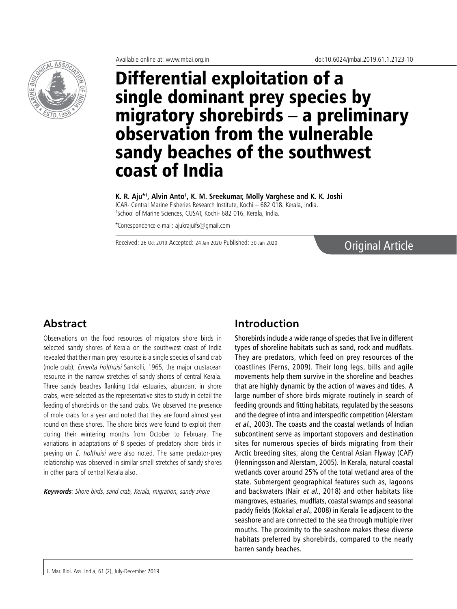

# Differential exploitation of a single dominant prey species by migratory shorebirds – a preliminary observation from the vulnerable sandy beaches of the southwest coast of India

K. R. Aju\*', Alvin Anto', K. M. Sreekumar, Molly Varghese and K. K. Joshi ICAR- Central Marine Fisheries Research Institute, Kochi – 682 018. Kerala, India.

1 School of Marine Sciences, CUSAT, Kochi- 682 016, Kerala, India.

\*Correspondence e-mail: ajukrajuifs@gmail.com

Received: 26 Oct 2019 Accepted: 24 Jan 2020 Published: 30 Jan 2020 **Original Article** 

# **Abstract**

Observations on the food resources of migratory shore birds in selected sandy shores of Kerala on the southwest coast of India revealed that their main prey resource is a single species of sand crab (mole crab), Emerita holthuisi Sankolli, 1965, the major crustacean resource in the narrow stretches of sandy shores of central Kerala. Three sandy beaches flanking tidal estuaries, abundant in shore crabs, were selected as the representative sites to study in detail the feeding of shorebirds on the sand crabs. We observed the presence of mole crabs for a year and noted that they are found almost year round on these shores. The shore birds were found to exploit them during their wintering months from October to February. The variations in adaptations of 8 species of predatory shore birds in preying on *E. holthuisi* were also noted. The same predator-prey relationship was observed in similar small stretches of sandy shores in other parts of central Kerala also.

**Keywords**: Shore birds, sand crab, Kerala, migration, sandy shore

# **Introduction**

Shorebirds include a wide range of species that live in different types of shoreline habitats such as sand, rock and mudflats. They are predators, which feed on prey resources of the coastlines (Ferns, 2009). Their long legs, bills and agile movements help them survive in the shoreline and beaches that are highly dynamic by the action of waves and tides. A large number of shore birds migrate routinely in search of feeding grounds and fitting habitats, regulated by the seasons and the degree of intra and interspecific competition (Alerstam et al., 2003). The coasts and the coastal wetlands of Indian subcontinent serve as important stopovers and destination sites for numerous species of birds migrating from their Arctic breeding sites, along the Central Asian Flyway (CAF) (Henningsson and Alerstam, 2005). In Kerala, natural coastal wetlands cover around 25% of the total wetland area of the state. Submergent geographical features such as, lagoons and backwaters (Nair et al., 2018) and other habitats like mangroves, estuaries, mudflats, coastal swamps and seasonal paddy fields (Kokkal et al., 2008) in Kerala lie adjacent to the seashore and are connected to the sea through multiple river mouths. The proximity to the seashore makes these diverse habitats preferred by shorebirds, compared to the nearly barren sandy beaches.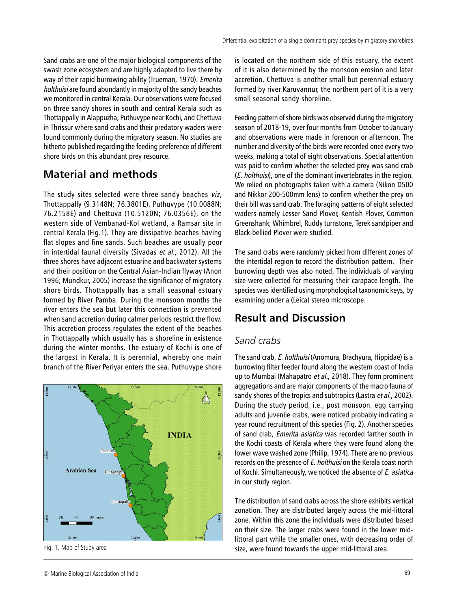Sand crabs are one of the major biological components of the swash zone ecosystem and are highly adapted to live there by way of their rapid burrowing ability (Trueman, 1970). Emerita holthuisi are found abundantly in majority of the sandy beaches we monitored in central Kerala. Our observations were focused on three sandy shores in south and central Kerala such as Thottappally in Alappuzha, Puthuvype near Kochi, and Chettuva in Thrissur where sand crabs and their predatory waders were found commonly during the migratory season. No studies are hitherto published regarding the feeding preference of different shore birds on this abundant prey resource.

# **Material and methods**

The study sites selected were three sandy beaches viz, Thottappally (9.3148N; 76.3801E), Puthuvype (10.0088N; 76.2158E) and Chettuva (10.5120N; 76.0356E), on the western side of Vembanad-Kol wetland, a Ramsar site in central Kerala (Fig.1). They are dissipative beaches having flat slopes and fine sands. Such beaches are usually poor in intertidal faunal diversity (Sivadas et al., 2012). All the three shores have adjacent estuarine and backwater systems and their position on the Central Asian-Indian flyway (Anon 1996; Mundkur, 2005) increase the significance of migratory shore birds. Thottappally has a small seasonal estuary formed by River Pamba. During the monsoon months the river enters the sea but later this connection is prevented when sand accretion during calmer periods restrict the flow. This accretion process regulates the extent of the beaches in Thottappally which usually has a shoreline in existence during the winter months. The estuary of Kochi is one of the largest in Kerala. It is perennial, whereby one main branch of the River Periyar enters the sea. Puthuvype shore



is located on the northern side of this estuary, the extent of it is also determined by the monsoon erosion and later accretion. Chettuva is another small but perennial estuary formed by river Karuvannur, the northern part of it is a very small seasonal sandy shoreline.

Feeding pattern of shore birds was observed during the migratory season of 2018-19, over four months from October to January and observations were made in forenoon or afternoon. The number and diversity of the birds were recorded once every two weeks, making a total of eight observations. Special attention was paid to confirm whether the selected prey was sand crab (E. holthuisi), one of the dominant invertebrates in the region. We relied on photographs taken with a camera (Nikon D500 and Nikkor 200-500mm lens) to confirm whether the prey on their bill was sand crab. The foraging patterns of eight selected waders namely Lesser Sand Plover, Kentish Plover, Common Greenshank, Whimbrel, Ruddy turnstone, Terek sandpiper and Black-bellied Plover were studied.

The sand crabs were randomly picked from different zones of the intertidal region to record the distribution pattern. Their burrowing depth was also noted. The individuals of varying size were collected for measuring their carapace length. The species was identified using morphological taxonomic keys, by examining under a (Leica) stereo microscope.

# **Result and Discussion**

#### *Sand crabs*

The sand crab, E. holthuisi (Anomura, Brachyura, Hippidae) is a burrowing filter feeder found along the western coast of India up to Mumbai (Mahapatro et al., 2018). They form prominent aggregations and are major components of the macro fauna of sandy shores of the tropics and subtropics (Lastra et al., 2002). During the study period, i.e., post monsoon, egg carrying adults and juvenile crabs, were noticed probably indicating a year round recruitment of this species (Fig. 2). Another species of sand crab, Emerita asiatica was recorded farther south in the Kochi coasts of Kerala where they were found along the lower wave washed zone (Philip, 1974). There are no previous records on the presence of E. holthuisi on the Kerala coast north of Kochi. Simultaneously, we noticed the absence of E. asiatica in our study region.

The distribution of sand crabs across the shore exhibits vertical zonation. They are distributed largely across the mid-littoral zone. Within this zone the individuals were distributed based on their size. The larger crabs were found in the lower midlittoral part while the smaller ones, with decreasing order of Fig. 1. Map of Study area **Study area** and the upper mid-littoral area.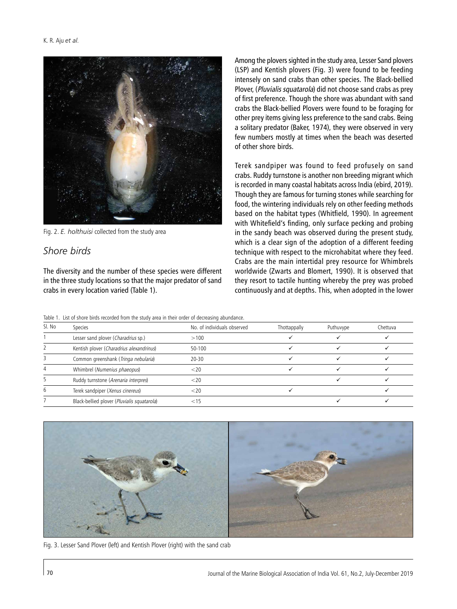

Fig. 2. *E. holthuisi* collected from the study area

## *Shore birds*

The diversity and the number of these species were different in the three study locations so that the major predator of sand crabs in every location varied (Table 1).

Among the plovers sighted in the study area, Lesser Sand plovers (LSP) and Kentish plovers (Fig. 3) were found to be feeding intensely on sand crabs than other species. The Black-bellied Plover, (Pluvialis squatarola) did not choose sand crabs as prey of first preference. Though the shore was abundant with sand crabs the Black-bellied Plovers were found to be foraging for other prey items giving less preference to the sand crabs. Being a solitary predator (Baker, 1974), they were observed in very few numbers mostly at times when the beach was deserted of other shore birds.

Terek sandpiper was found to feed profusely on sand crabs. Ruddy turnstone is another non breeding migrant which is recorded in many coastal habitats across India (ebird, 2019). Though they are famous for turning stones while searching for food, the wintering individuals rely on other feeding methods based on the habitat types (Whitfield, 1990). In agreement with Whitefield's finding, only surface pecking and probing in the sandy beach was observed during the present study, which is a clear sign of the adoption of a different feeding technique with respect to the microhabitat where they feed. Crabs are the main intertidal prey resource for Whimbrels worldwide (Zwarts and Blomert, 1990). It is observed that they resort to tactile hunting whereby the prey was probed continuously and at depths. This, when adopted in the lower

| Table 1. List of shore birds recorded from the study area in their order of decreasing abundance. |  |
|---------------------------------------------------------------------------------------------------|--|
|---------------------------------------------------------------------------------------------------|--|

| SI. No | Species                                     | No. of individuals observed | Thottappally | Puthuvype | Chettuva |
|--------|---------------------------------------------|-----------------------------|--------------|-----------|----------|
|        | Lesser sand plover (Charadrius sp.)         | >100                        |              |           |          |
|        | Kentish plover (Charadrius alexandrinus)    | 50-100                      |              |           |          |
|        | Common greenshank (Tringa nebularia)        | $20 - 30$                   |              |           |          |
|        | Whimbrel (Numenius phaeopus)                | $<$ 20                      |              |           |          |
|        | Ruddy turnstone (Arenaria interpres)        | $<$ 20                      |              |           |          |
|        | Terek sandpiper (Xenus cinereus)            | ${<}20$                     |              |           |          |
|        | Black-bellied plover (Pluvialis squatarola) |                             |              |           |          |



Fig. 3. Lesser Sand Plover (left) and Kentish Plover (right) with the sand crab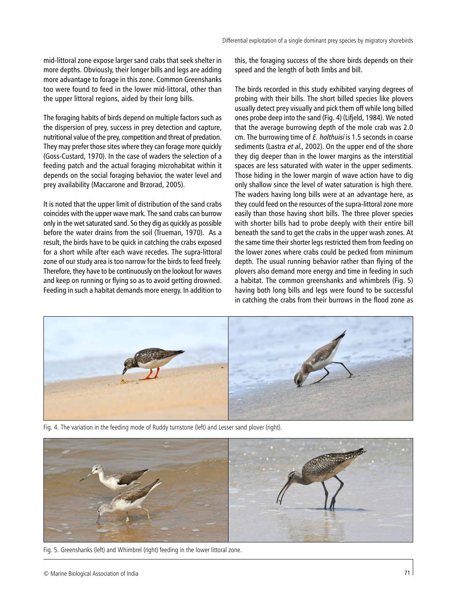mid-littoral zone expose larger sand crabs that seek shelter in more depths. Obviously, their longer bills and legs are adding more advantage to forage in this zone. Common Greenshanks too were found to feed in the lower mid-littoral, other than the upper littoral regions, aided by their long bills.

The foraging habits of birds depend on multiple factors such as the dispersion of prey, success in prey detection and capture, nutritional value of the prey, competition and threat of predation. They may prefer those sites where they can forage more quickly (Goss-Custard, 1970). In the case of waders the selection of a feeding patch and the actual foraging microhabitat within it depends on the social foraging behavior, the water level and prey availability (Maccarone and Brzorad, 2005).

It is noted that the upper limit of distribution of the sand crabs coincides with the upper wave mark. The sand crabs can burrow only in the wet saturated sand. So they dig as quickly as possible before the water drains from the soil (Trueman, 1970). As a result, the birds have to be quick in catching the crabs exposed for a short while after each wave recedes. The supra-littoral zone of our study area is too narrow for the birds to feed freely. Therefore, they have to be continuously on the lookout for waves and keep on running or flying so as to avoid getting drowned. Feeding in such a habitat demands more energy. In addition to

this, the foraging success of the shore birds depends on their speed and the length of both limbs and bill.

The birds recorded in this study exhibited varying degrees of probing with their bills. The short billed species like plovers usually detect prey visually and pick them off while long billed ones probe deep into the sand (Fig. 4) (Lifjeld, 1984). We noted that the average burrowing depth of the mole crab was 2.0 cm. The burrowing time of E. holthuisi is 1.5 seconds in coarse sediments (Lastra et al., 2002). On the upper end of the shore they dig deeper than in the lower margins as the interstitial spaces are less saturated with water in the upper sediments. Those hiding in the lower margin of wave action have to dig only shallow since the level of water saturation is high there. The waders having long bills were at an advantage here, as they could feed on the resources of the supra-littoral zone more easily than those having short bills. The three plover species with shorter bills had to probe deeply with their entire bill beneath the sand to get the crabs in the upper wash zones. At the same time their shorter legs restricted them from feeding on the lower zones where crabs could be pecked from minimum depth. The usual running behavior rather than flying of the plovers also demand more energy and time in feeding in such a habitat. The common greenshanks and whimbrels (Fig. 5) having both long bills and legs were found to be successful in catching the crabs from their burrows in the flood zone as



Fig. 4. The variation in the feeding mode of Ruddy turnstone (left) and Lesser sand plover (right).



Fig. 5. Greenshanks (left) and Whimbrel (right) feeding in the lower littoral zone.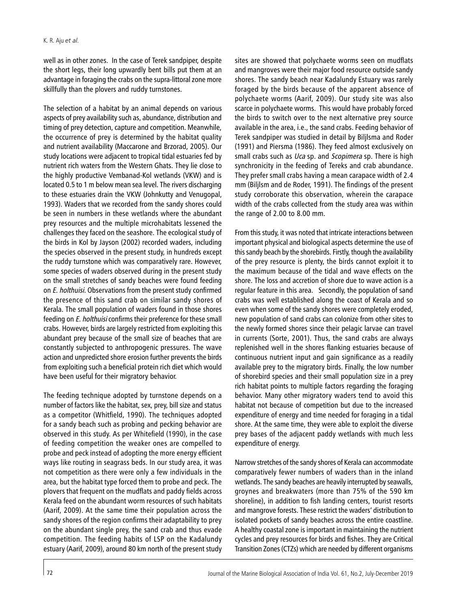well as in other zones. In the case of Terek sandpiper, despite the short legs, their long upwardly bent bills put them at an advantage in foraging the crabs on the supra-littoral zone more skillfully than the plovers and ruddy turnstones.

The selection of a habitat by an animal depends on various aspects of prey availability such as, abundance, distribution and timing of prey detection, capture and competition. Meanwhile, the occurrence of prey is determined by the habitat quality and nutrient availability (Maccarone and Brzorad, 2005). Our study locations were adjacent to tropical tidal estuaries fed by nutrient rich waters from the Western Ghats. They lie close to the highly productive Vembanad-Kol wetlands (VKW) and is located 0.5 to 1 m below mean sea level. The rivers discharging to these estuaries drain the VKW (Johnkutty and Venugopal, 1993). Waders that we recorded from the sandy shores could be seen in numbers in these wetlands where the abundant prey resources and the multiple microhabitats lessened the challenges they faced on the seashore. The ecological study of the birds in Kol by Jayson (2002) recorded waders, including the species observed in the present study, in hundreds except the ruddy turnstone which was comparatively rare. However, some species of waders observed during in the present study on the small stretches of sandy beaches were found feeding on E. holthuisi. Observations from the present study confirmed the presence of this sand crab on similar sandy shores of Kerala. The small population of waders found in those shores feeding on E. holthuisi confirms their preference for these small crabs. However, birds are largely restricted from exploiting this abundant prey because of the small size of beaches that are constantly subjected to anthropogenic pressures. The wave action and unpredicted shore erosion further prevents the birds from exploiting such a beneficial protein rich diet which would have been useful for their migratory behavior.

The feeding technique adopted by turnstone depends on a number of factors like the habitat, sex, prey, bill size and status as a competitor (Whitfield, 1990). The techniques adopted for a sandy beach such as probing and pecking behavior are observed in this study. As per Whitefield (1990), in the case of feeding competition the weaker ones are compelled to probe and peck instead of adopting the more energy efficient ways like routing in seagrass beds. In our study area, it was not competition as there were only a few individuals in the area, but the habitat type forced them to probe and peck. The plovers that frequent on the mudflats and paddy fields across Kerala feed on the abundant worm resources of such habitats (Aarif, 2009). At the same time their population across the sandy shores of the region confirms their adaptability to prey on the abundant single prey, the sand crab and thus evade competition. The feeding habits of LSP on the Kadalundy estuary (Aarif, 2009), around 80 km north of the present study

sites are showed that polychaete worms seen on mudflats and mangroves were their major food resource outside sandy shores. The sandy beach near Kadalundy Estuary was rarely foraged by the birds because of the apparent absence of polychaete worms (Aarif, 2009). Our study site was also scarce in polychaete worms. This would have probably forced the birds to switch over to the next alternative prey source available in the area, i.e., the sand crabs. Feeding behavior of Terek sandpiper was studied in detail by Biljlsma and Roder (1991) and Piersma (1986). They feed almost exclusively on small crabs such as *Uca* sp. and *Scopimera* sp. There is high synchronicity in the feeding of Tereks and crab abundance. They prefer small crabs having a mean carapace width of 2.4 mm (Biljlsm and de Roder, 1991). The findings of the present study corroborate this observation, wherein the carapace width of the crabs collected from the study area was within the range of 2.00 to 8.00 mm.

From this study, it was noted that intricate interactions between important physical and biological aspects determine the use of this sandy beach by the shorebirds. Firstly, though the availability of the prey resource is plenty, the birds cannot exploit it to the maximum because of the tidal and wave effects on the shore. The loss and accretion of shore due to wave action is a regular feature in this area. Secondly, the population of sand crabs was well established along the coast of Kerala and so even when some of the sandy shores were completely eroded, new population of sand crabs can colonize from other sites to the newly formed shores since their pelagic larvae can travel in currents (Sorte, 2001). Thus, the sand crabs are always replenished well in the shores flanking estuaries because of continuous nutrient input and gain significance as a readily available prey to the migratory birds. Finally, the low number of shorebird species and their small population size in a prey rich habitat points to multiple factors regarding the foraging behavior. Many other migratory waders tend to avoid this habitat not because of competition but due to the increased expenditure of energy and time needed for foraging in a tidal shore. At the same time, they were able to exploit the diverse prey bases of the adjacent paddy wetlands with much less expenditure of energy.

Narrow stretches of the sandy shores of Kerala can accommodate comparatively fewer numbers of waders than in the inland wetlands. The sandy beaches are heavily interrupted by seawalls, groynes and breakwaters (more than 75% of the 590 km shoreline), in addition to fish landing centers, tourist resorts and mangrove forests. These restrict the waders' distribution to isolated pockets of sandy beaches across the entire coastline. A healthy coastal zone is important in maintaining the nutrient cycles and prey resources for birds and fishes. They are Critical Transition Zones (CTZs) which are needed by different organisms